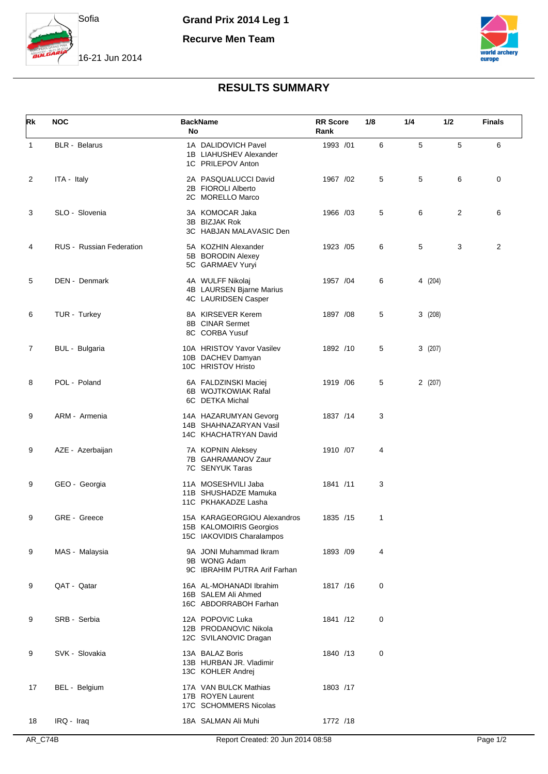

**Grand Prix 2014 Leg 1**

**Recurve Men Team**



16-21 Jun 2014

## **RESULTS SUMMARY**

| Rk | <b>NOC</b>                      | <b>BackName</b><br>No                                                               | <b>RR</b> Score<br>Rank | 1/8 | 1/4     | 1/2 | <b>Finals</b>  |
|----|---------------------------------|-------------------------------------------------------------------------------------|-------------------------|-----|---------|-----|----------------|
| 1  | <b>BLR</b> - Belarus            | 1A DALIDOVICH Pavel<br>1B LIAHUSHEV Alexander<br>1C PRILEPOV Anton                  | 1993 /01                | 6   | 5       | 5   | 6              |
| 2  | ITA - Italy                     | 2A PASQUALUCCI David<br>2B FIOROLI Alberto<br>2C MORELLO Marco                      | 1967 /02                | 5   | 5       | 6   | 0              |
| 3  | SLO - Slovenia                  | 3A KOMOCAR Jaka<br>3B BIZJAK Rok<br>3C HABJAN MALAVASIC Den                         | 1966 /03                | 5   | 6       | 2   | 6              |
| 4  | <b>RUS</b> - Russian Federation | 5A KOZHIN Alexander<br>5B BORODIN Alexey<br>5C GARMAEV Yuryi                        | 1923 /05                | 6   | 5       | 3   | $\overline{2}$ |
| 5  | DEN - Denmark                   | 4A WULFF Nikolaj<br>4B LAURSEN Bjarne Marius<br>4C LAURIDSEN Casper                 | 1957 / 04               | 6   | 4 (204) |     |                |
| 6  | TUR - Turkey                    | 8A KIRSEVER Kerem<br>8B CINAR Sermet<br>8C CORBA Yusuf                              | 1897 / 08               | 5   | 3(208)  |     |                |
| 7  | BUL - Bulgaria                  | 10A HRISTOV Yavor Vasilev<br>10B DACHEV Damyan<br>10C HRISTOV Hristo                | 1892 /10                | 5   | 3(207)  |     |                |
| 8  | POL - Poland                    | 6A FALDZINSKI Maciej<br>6B WOJTKOWIAK Rafal<br>6C DETKA Michal                      | 1919 / 06               | 5   | 2(207)  |     |                |
| 9  | ARM - Armenia                   | 14A HAZARUMYAN Gevorg<br>14B SHAHNAZARYAN Vasil<br>14C KHACHATRYAN David            | 1837 /14                | 3   |         |     |                |
| 9  | AZE - Azerbaijan                | 7A KOPNIN Aleksey<br>7B GAHRAMANOV Zaur<br>7C SENYUK Taras                          | 1910 /07                | 4   |         |     |                |
| 9  | GEO - Georgia                   | 11A MOSESHVILI Jaba<br>11B SHUSHADZE Mamuka<br>11C PKHAKADZE Lasha                  | 1841 /11                | 3   |         |     |                |
| 9  | GRE - Greece                    | 15A KARAGEORGIOU Alexandros<br>15B KALOMOIRIS Georgios<br>15C IAKOVIDIS Charalampos | 1835 /15                | 1   |         |     |                |
| 9  | MAS - Malaysia                  | 9A JONI Muhammad Ikram<br>9B WONG Adam<br>9C IBRAHIM PUTRA Arif Farhan              | 1893 /09                | 4   |         |     |                |
| 9  | QAT - Qatar                     | 16A AL-MOHANADI Ibrahim<br>16B SALEM Ali Ahmed<br>16C ABDORRABOH Farhan             | 1817 /16                | 0   |         |     |                |
| 9  | SRB - Serbia                    | 12A POPOVIC Luka<br>12B PRODANOVIC Nikola<br>12C SVILANOVIC Dragan                  | 1841 /12                | 0   |         |     |                |
| 9  | SVK - Slovakia                  | 13A BALAZ Boris<br>13B HURBAN JR. Vladimir<br>13C KOHLER Andrej                     | 1840 /13                | 0   |         |     |                |
| 17 | BEL - Belgium                   | 17A VAN BULCK Mathias<br>17B ROYEN Laurent<br>17C SCHOMMERS Nicolas                 | 1803 /17                |     |         |     |                |
| 18 | IRQ - Iraq                      | 18A SALMAN Ali Muhi                                                                 | 1772 /18                |     |         |     |                |